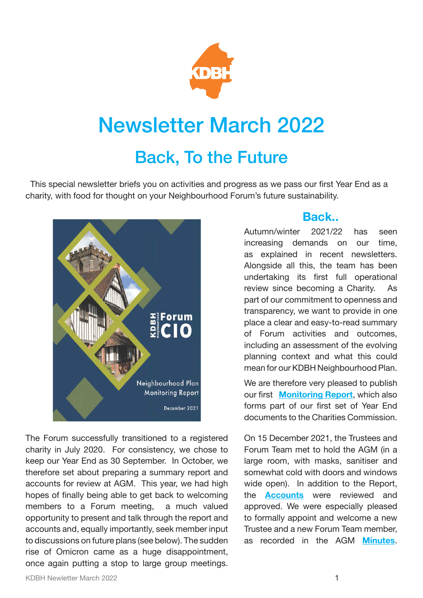

## Newsletter March 2022

## Back, To the Future

 This special newsletter briefs you on activities and progress as we pass our first Year End as a charity, with food for thought on your Neighbourhood Forum's future sustainability.



The Forum successfully transitioned to a registered charity in July 2020. For consistency, we chose to keep our Year End as 30 September. In October, we therefore set about preparing a summary report and accounts for review at AGM. This year, we had high hopes of finally being able to get back to welcoming members to a Forum meeting, a much valued opportunity to present and talk through the report and accounts and, equally importantly, seek member input to discussions on future plans (see below). The sudden rise of Omicron came as a huge disappointment, once again putting a stop to large group meetings.

## **Back..**

Autumn/winter 2021/22 has seen increasing demands on our time, as explained in recent newsletters. Alongside all this, the team has been undertaking its first full operational review since becoming a Charity. As part of our commitment to openness and transparency, we want to provide in one place a clear and easy-to-read summary of Forum activities and outcomes, including an assessment of the evolving planning context and what this could mean for our KDBH Neighbourhood Plan.

We are therefore very pleased to publish our first **[Monitoring Report](https://shoutout.wix.com/so/5dNz_mRCP/c?w=nwtJkrgmglf0vLqrwy_ZpwQKZQ398pdnYNKo_wFP1k8.eyJ1IjoiaHR0cHM6Ly8zNzQ1YzBlZC1jZjUyLTRhZWUtYTY0Yi03MDlkNWYxMTkyMzQudXNyZmlsZXMuY29tL3VnZC8zNzQ1YzBfODQyMGQ4MzEzODBiNGZkMmE2ODc0NDBkZjYxNTY5MWMucGRmIiwiciI6IjU0OTA3ODA1LTFiOGQtNDllMy1hOGM3LWI4N2ExMjI0MTI0NSIsIm0iOiJtYWlsIiwiYyI6ImRiZGU2Zjc4LTMxMmEtNDY4Ni05OTQ3LWIwMmE2NDFiOWY1MiJ9)**, which also forms part of our first set of Year End documents to the Charities Commission.

On 15 December 2021, the Trustees and Forum Team met to hold the AGM (in a large room, with masks, sanitiser and somewhat cold with doors and windows wide open). In addition to the Report, the **[Accounts](https://3745c0ed-cf52-4aee-a64b-709d5f119234.usrfiles.com/ugd/3745c0_93c290065fc24fb39bc68d1c43c93076.pdf)** were reviewed and approved. We were especially pleased to formally appoint and welcome a new Trustee and a new Forum Team member, as recorded in the AGM **[Minutes](https://shoutout.wix.com/so/5dNz_mRCP/c?w=fidcRgtvmcncbdnSDMG8uEYQZNFAzQTL8BaQ4YezJLk.eyJ1IjoiaHR0cHM6Ly8zNzQ1YzBlZC1jZjUyLTRhZWUtYTY0Yi03MDlkNWYxMTkyMzQudXNyZmlsZXMuY29tL3VnZC8zNzQ1YzBfMTFhZjViNGY0MzU4NDRmMzlmYjc2NDVkYmExOWQ4MDQucGRmIiwiciI6ImRkNDk5MjgzLWQ2YjMtNGExNy1hMzBlLTdhMjMyMjE5YWJiYyIsIm0iOiJtYWlsIiwiYyI6ImRiZGU2Zjc4LTMxMmEtNDY4Ni05OTQ3LWIwMmE2NDFiOWY1MiJ9)**.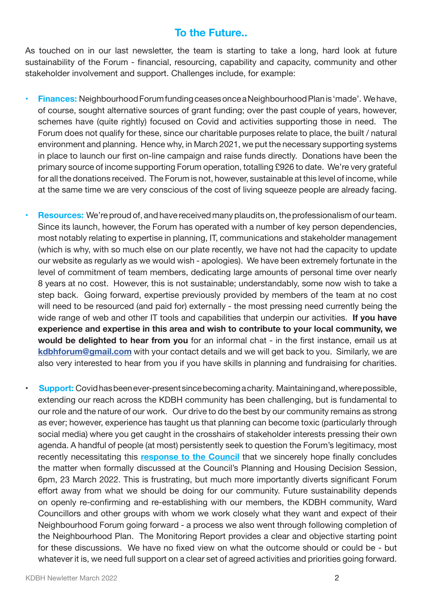## **To the Future..**

As touched on in our last newsletter, the team is starting to take a long, hard look at future sustainability of the Forum - financial, resourcing, capability and capacity, community and other stakeholder involvement and support. Challenges include, for example:

- **• Finances:** Neighbourhood Forum funding ceases once a Neighbourhood Plan is 'made'. We have, of course, sought alternative sources of grant funding; over the past couple of years, however, schemes have (quite rightly) focused on Covid and activities supporting those in need. The Forum does not qualify for these, since our charitable purposes relate to place, the built / natural environment and planning. Hence why, in March 2021, we put the necessary supporting systems in place to launch our first on-line campaign and raise funds directly. Donations have been the primary source of income supporting Forum operation, totalling £926 to date. We're very grateful for all the donations received. The Forum is not, however, sustainable at this level of income, while at the same time we are very conscious of the cost of living squeeze people are already facing.
- **Resources:** We're proud of, and have received many plaudits on, the professionalism of our team. Since its launch, however, the Forum has operated with a number of key person dependencies, most notably relating to expertise in planning, IT, communications and stakeholder management (which is why, with so much else on our plate recently, we have not had the capacity to update our website as regularly as we would wish - apologies). We have been extremely fortunate in the level of commitment of team members, dedicating large amounts of personal time over nearly 8 years at no cost. However, this is not sustainable; understandably, some now wish to take a step back. Going forward, expertise previously provided by members of the team at no cost will need to be resourced (and paid for) externally - the most pressing need currently being the wide range of web and other IT tools and capabilities that underpin our activities. **If you have experience and expertise in this area and wish to contribute to your local community, we would be delighted to hear from you** for an informal chat - in the first instance, email us at **[kdbhforum@gmail.com](mailto:kdbhforum@gmail.com)** with your contact details and we will get back to you. Similarly, we are also very interested to hear from you if you have skills in planning and fundraising for charities.
- **Support:** Covid has been ever-present since becoming a charity. Maintaining and, where possible, extending our reach across the KDBH community has been challenging, but is fundamental to our role and the nature of our work. Our drive to do the best by our community remains as strong as ever; however, experience has taught us that planning can become toxic (particularly through social media) where you get caught in the crosshairs of stakeholder interests pressing their own agenda. A handful of people (at most) persistently seek to question the Forum's legitimacy, most recently necessitating this **[response to the Council](https://shoutout.wix.com/so/5dNz_mRCP/c?w=GRXPlkz9-FlPydHrlT5mBnrpoHHOPMNhi3rttslfRp0.eyJ1IjoiaHR0cHM6Ly8zNzQ1YzBlZC1jZjUyLTRhZWUtYTY0Yi03MDlkNWYxMTkyMzQudXNyZmlsZXMuY29tL3VnZC8zNzQ1YzBfZjU0YWY3NGE5NzI3NDIyZDk1MmNiMmViNjNiN2Q4NWEucGRmIiwiciI6ImRiMGYxM2UwLTI1MjYtNGE0MC1lN2E1LTZhYTQ1ZDU0YTk2YiIsIm0iOiJtYWlsIiwiYyI6ImRiZGU2Zjc4LTMxMmEtNDY4Ni05OTQ3LWIwMmE2NDFiOWY1MiJ9)** that we sincerely hope finally concludes the matter when formally discussed at the Council's Planning and Housing Decision Session, 6pm, 23 March 2022. This is frustrating, but much more importantly diverts significant Forum effort away from what we should be doing for our community. Future sustainability depends on openly re-confirming and re-establishing with our members, the KDBH community, Ward Councillors and other groups with whom we work closely what they want and expect of their Neighbourhood Forum going forward - a process we also went through following completion of the Neighbourhood Plan. The Monitoring Report provides a clear and objective starting point for these discussions. We have no fixed view on what the outcome should or could be - but whatever it is, we need full support on a clear set of agreed activities and priorities going forward.